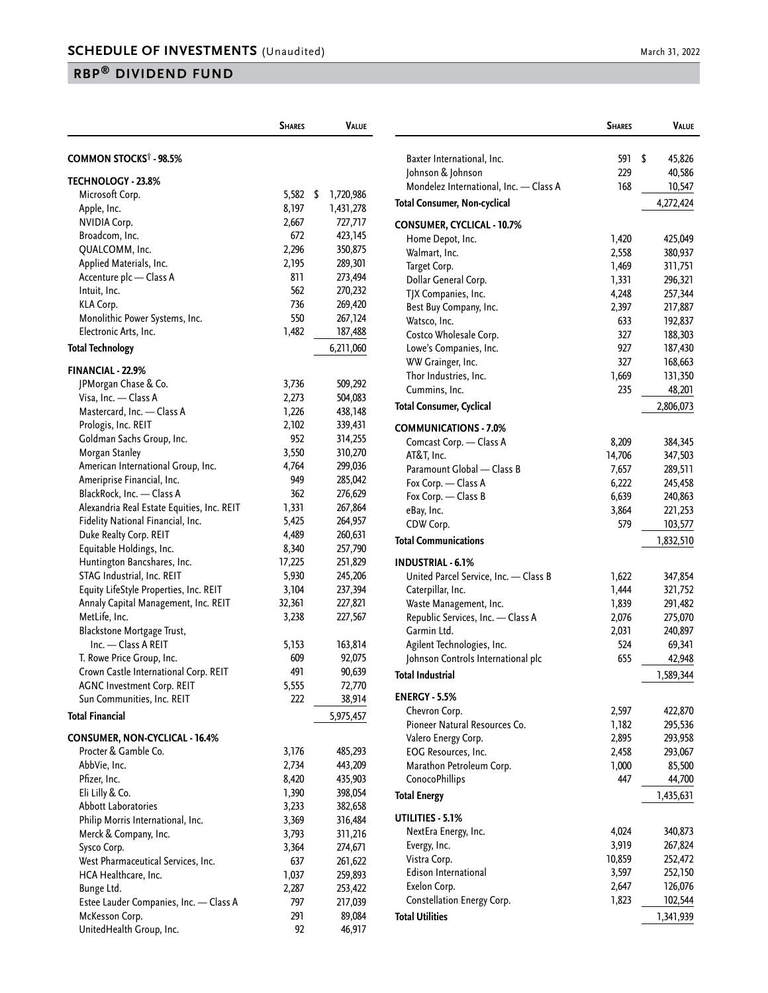## **RBP® DIVIDEND FUND**

|                                                                 | <b>SHARES</b> | <b>VALUE</b>    |
|-----------------------------------------------------------------|---------------|-----------------|
| COMMON STOCKS <sup>†</sup> - 98.5%                              |               |                 |
| TECHNOLOGY - 23.8%                                              |               |                 |
| Microsoft Corp.                                                 | 5,582         | \$<br>1,720,986 |
| Apple, Inc.                                                     | 8,197         | 1,431,278       |
| <b>NVIDIA Corp.</b>                                             | 2,667         | 727,717         |
| Broadcom, Inc.                                                  | 672           | 423,145         |
| QUALCOMM, Inc.                                                  | 2,296         | 350,875         |
| Applied Materials, Inc.                                         | 2,195         | 289,301         |
| Accenture plc - Class A                                         | 811           | 273,494         |
| Intuit, Inc.                                                    | 562           | 270,232         |
| KLA Corp.                                                       | 736           | 269,420         |
| Monolithic Power Systems, Inc.                                  | 550           | 267,124         |
| Electronic Arts, Inc.                                           | 1,482         | 187,488         |
|                                                                 |               |                 |
| <b>Total Technology</b>                                         |               | 6,211,060       |
| <b>FINANCIAL - 22.9%</b>                                        |               |                 |
| JPMorgan Chase & Co.                                            | 3,736         | 509,292         |
| Visa, Inc. - Class A                                            | 2,273         | 504,083         |
| Mastercard, Inc. - Class A                                      | 1,226         | 438,148         |
| Prologis, Inc. REIT                                             | 2,102         | 339,431         |
| Goldman Sachs Group, Inc.                                       | 952           | 314,255         |
| Morgan Stanley                                                  | 3,550         | 310,270         |
| American International Group, Inc.                              | 4,764         | 299,036         |
| Ameriprise Financial, Inc.                                      | 949           | 285,042         |
| BlackRock, Inc. - Class A                                       | 362           | 276,629         |
| Alexandria Real Estate Equities, Inc. REIT                      | 1,331         | 267,864         |
| Fidelity National Financial, Inc.                               | 5,425         | 264,957         |
| Duke Realty Corp. REIT                                          | 4,489         | 260,631         |
| Equitable Holdings, Inc.                                        | 8,340         | 257,790         |
| Huntington Bancshares, Inc.                                     | 17,225        | 251,829         |
| STAG Industrial, Inc. REIT                                      | 5,930         | 245,206         |
| Equity LifeStyle Properties, Inc. REIT                          | 3,104         | 237,394         |
| Annaly Capital Management, Inc. REIT                            | 32,361        | 227,821         |
| MetLife, Inc.                                                   | 3,238         | 227,567         |
| Blackstone Mortgage Trust,                                      |               |                 |
| Inc. - Class A REIT                                             | 5,153         | 163,814         |
| T. Rowe Price Group, Inc.                                       | 609           | 92,075          |
| Crown Castle International Corp. REIT                           | 491           | 90,639          |
|                                                                 |               | 72,770          |
| <b>AGNC Investment Corp. REIT</b><br>Sun Communities, Inc. REIT | 5,555<br>222  | 38,914          |
|                                                                 |               |                 |
| <b>Total Financial</b>                                          |               | 5,975,457       |
| <b>CONSUMER, NON-CYCLICAL - 16.4%</b>                           |               |                 |
| Procter & Gamble Co.                                            | 3,176         | 485,293         |
| AbbVie. Inc.                                                    | 2,734         | 443,209         |
| Pfizer, Inc.                                                    | 8,420         | 435,903         |
| Eli Lilly & Co.                                                 | 1,390         | 398,054         |
| <b>Abbott Laboratories</b>                                      | 3,233         | 382,658         |
| Philip Morris International, Inc.                               | 3,369         | 316,484         |
| Merck & Company, Inc.                                           | 3,793         | 311,216         |
| Sysco Corp.                                                     | 3,364         | 274,671         |
| West Pharmaceutical Services, Inc.                              | 637           | 261,622         |
| HCA Healthcare, Inc.                                            | 1,037         | 259,893         |
| Bunge Ltd.                                                      | 2,287         | 253,422         |
| Estee Lauder Companies, Inc. - Class A                          | 797           | 217,039         |
| McKesson Corp.                                                  | 291           | 89,084          |
| UnitedHealth Group, Inc.                                        | 92            | 46,917          |
|                                                                 |               |                 |

|                                             | <b>SHARES</b>   | VALUE              |
|---------------------------------------------|-----------------|--------------------|
| Baxter International, Inc.                  | 591             | \$<br>45,826       |
| Johnson & Johnson                           | 229             | 40,586             |
| Mondelez International, Inc. - Class A      | 168             | 10,547             |
| <b>Total Consumer, Non-cyclical</b>         |                 | 4,272,424          |
| <b>CONSUMER, CYCLICAL - 10.7%</b>           |                 |                    |
| Home Depot, Inc.                            | 1,420           | 425,049            |
| Walmart, Inc.                               | 2,558           | 380,937            |
| Target Corp.                                | 1,469           | 311,751            |
| Dollar General Corp.                        | 1,331           | 296,321            |
| TJX Companies, Inc.                         | 4,248           | 257,344            |
| Best Buy Company, Inc.                      | 2,397           | 217,887            |
| Watsco, Inc.                                | 633             | 192,837            |
| Costco Wholesale Corp.                      | 327             | 188,303            |
| Lowe's Companies, Inc.                      | 927             | 187,430            |
| WW Grainger, Inc.                           | 327             | 168,663            |
| Thor Industries, Inc.                       | 1,669           | 131,350            |
| Cummins, Inc.                               | 235             | 48,201             |
| <b>Total Consumer, Cyclical</b>             |                 | 2,806,073          |
| <b>COMMUNICATIONS - 7.0%</b>                |                 |                    |
| Comcast Corp. - Class A<br>AT&T, Inc.       | 8,209<br>14,706 | 384,345            |
| Paramount Global - Class B                  | 7,657           | 347,503<br>289,511 |
| Fox Corp. - Class A                         | 6,222           | 245,458            |
| Fox Corp. - Class B                         | 6,639           | 240,863            |
| eBay, Inc.                                  | 3,864           | 221,253            |
| CDW Corp.                                   | 579             | 103,577            |
| <b>Total Communications</b>                 |                 | 1,832,510          |
| <b>INDUSTRIAL - 6.1%</b>                    |                 |                    |
| United Parcel Service, Inc. - Class B       | 1,622           | 347,854            |
| Caterpillar, Inc.                           | 1,444           | 321,752            |
| Waste Management, Inc.                      | 1,839           | 291,482            |
| Republic Services, Inc. - Class A           | 2,076           | 275,070            |
| Garmin Ltd.                                 | 2,031           | 240,897            |
| Agilent Technologies, Inc.                  | 524             | 69,341             |
| Johnson Controls International plc          | 655             | 42,948             |
| <b>Total Industrial</b>                     |                 | 1,589,344          |
| <b>ENERGY - 5.5%</b>                        |                 |                    |
| Chevron Corp.                               | 2,597           | 422,870            |
| Pioneer Natural Resources Co.               | 1,182           | 295,536            |
| Valero Energy Corp.                         | 2,895           | 293,958            |
| EOG Resources, Inc.                         | 2,458           | 293,067            |
| Marathon Petroleum Corp.                    | 1,000           | 85,500             |
| ConocoPhillips                              | 447             | 44,700             |
| <b>Total Energy</b>                         |                 | 1,435,631          |
| UTILITIES - 5.1%                            |                 |                    |
| NextEra Energy, Inc.                        | 4,024           | 340,873            |
| Evergy, Inc.                                | 3,919           | 267,824            |
| Vistra Corp.<br><b>Edison International</b> | 10,859          | 252,472            |
| Exelon Corp.                                | 3,597<br>2,647  | 252,150<br>126,076 |
| Constellation Energy Corp.                  | 1,823           | 102,544            |
|                                             |                 |                    |
| <b>Total Utilities</b>                      |                 | 1,341,939          |